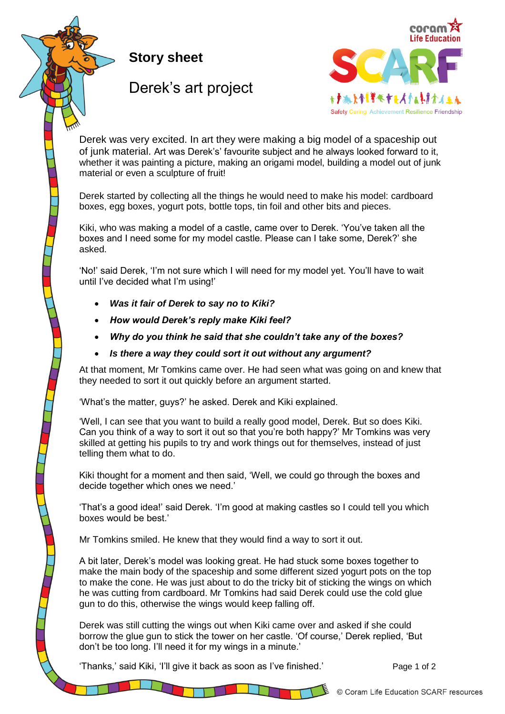**Story sheet**

## Derek's art project



of junk material. Art was Derek's' favourite subject and he always looked forward to it, whether it was painting a picture, making an origami model, building a model out of junk material or even a sculpture of fruit! The model of  $\mu$  material or even a sculpture of fruit! Derek was very excited. In art they were making a big model of a spaceship out

boxes, egg boxes, yogurt pots, bottle tops, tin foil and other bits and pieces. Derek started by collecting all the things he would need to make his model: cardboard

boxes and I need some for my model castle. Please can I take some, Derek?' she need some for my model castle. Please castle castle. Please can I take some, Derek?' she asked. Kiki, who was making a model of a castle, came over to Derek. 'You've taken all the asked.

'No!' said Derek, 'I'm not sure which I will need for my model yet. You'll have to wait decided what I'm using!' until I've decided what I'm using!'

- **•** Was it fair of Derek to say no to Kiki?
- needed to sort it out quickly before an argument started. *How would Derek's reply make Kiki feel?*
- $\bullet$  Why do you think he said that she couldn't take any of the boxes?
- Is there a way they could sort it out without any argument?

At that moment, Mr Tomkins came over. He had seen what was going on and knew that his pupils to try and work things out for themselves, instead of just telling them what to do. they needed to sort it out quickly before an argument started.

What's the matter, guvs?' he asked. Derek and Kiki explained to the contract, gap of the  $\alpha$ 'What's the matter, guys?' he asked. Derek and Kiki explained.

Can you think of a way to sort it out so that you're both happy?' Mr Tomkins was very skilled at getting his pupils to try and work things out for themselves, instead of just  $M_{\rm H}$  Tomkins smiled. He knew that they would find a way to some to solve it out. 'Well, I can see that you want to build a really good model, Derek. But so does Kiki. telling them what to do.

decide together which ones we need.' **Example 1** and study some boxes to make the had study and study and study of material solutions of the had study and study and study and study and study and study and study and study a main body of the spaceship and some different sized yogurt bots on the top to make the cone. Kiki thought for a moment and then said, 'Well, we could go through the boxes and

'That's a good idea!' said Derek. 'I'm good at making castles so I could tell you which boxes would be best.' The cold glue gun to do the cold glue gun to do this, otherwise the cold glue gun to do this, otherwise the cold glue gun to do the cold glue gun to do this, otherwise the cold glue gun to do the cold

Derek was still cutting the wings out when Kiki came over and askesd if she could borrow the Mr Tomkins smiled. He knew that they would find a way to sort it out.

A bit later, Derek's model was looking great. He had stuck some boxes together to make the main body of the spaceship and some different sized yogurt pots on the top to make the cone. He was just about to do the tricky bit of sticking the wings on which he was cutting from cardboard. Mr Tomkins had said Derek could use the cold glue gun to do this, otherwise the wings would keep falling off.

Derek was still cutting the wings out when Kiki came over and asked if she could borrow the glue gun to stick the tower on her castle. 'Of course,' Derek replied, 'But don't be too long. I'll need it for my wings in a minute.'

'Thanks,' said Kiki, 'I'll give it back as soon as I've finished.' Page 1 of 2